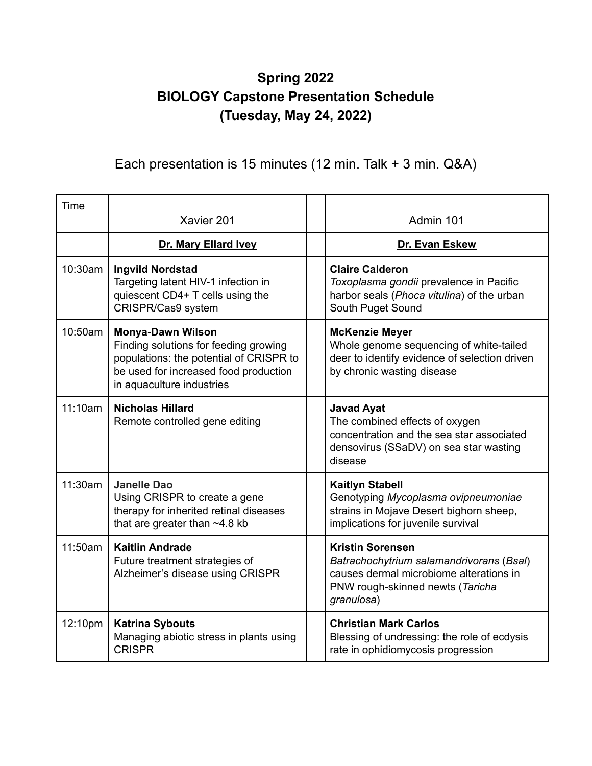## **Spring 2022 BIOLOGY Capstone Presentation Schedule (Tuesday, May 24, 2022)**

## Each presentation is 15 minutes (12 min. Talk + 3 min. Q&A)

| Time    | Xavier 201                                                                                                                                                                         | Admin 101                                                                                                                                                        |
|---------|------------------------------------------------------------------------------------------------------------------------------------------------------------------------------------|------------------------------------------------------------------------------------------------------------------------------------------------------------------|
|         | Dr. Mary Ellard Ivey                                                                                                                                                               | Dr. Evan Eskew                                                                                                                                                   |
| 10:30am | <b>Ingvild Nordstad</b><br>Targeting latent HIV-1 infection in<br>quiescent CD4+ T cells using the<br>CRISPR/Cas9 system                                                           | <b>Claire Calderon</b><br>Toxoplasma gondii prevalence in Pacific<br>harbor seals (Phoca vitulina) of the urban<br>South Puget Sound                             |
| 10:50am | <b>Monya-Dawn Wilson</b><br>Finding solutions for feeding growing<br>populations: the potential of CRISPR to<br>be used for increased food production<br>in aquaculture industries | <b>McKenzie Meyer</b><br>Whole genome sequencing of white-tailed<br>deer to identify evidence of selection driven<br>by chronic wasting disease                  |
| 11:10am | <b>Nicholas Hillard</b><br>Remote controlled gene editing                                                                                                                          | <b>Javad Ayat</b><br>The combined effects of oxygen<br>concentration and the sea star associated<br>densovirus (SSaDV) on sea star wasting<br>disease            |
| 11:30am | <b>Janelle Dao</b><br>Using CRISPR to create a gene<br>therapy for inherited retinal diseases<br>that are greater than ~4.8 kb                                                     | <b>Kaitlyn Stabell</b><br>Genotyping Mycoplasma ovipneumoniae<br>strains in Mojave Desert bighorn sheep,<br>implications for juvenile survival                   |
| 11:50am | <b>Kaitlin Andrade</b><br>Future treatment strategies of<br>Alzheimer's disease using CRISPR                                                                                       | <b>Kristin Sorensen</b><br>Batrachochytrium salamandrivorans (Bsal)<br>causes dermal microbiome alterations in<br>PNW rough-skinned newts (Taricha<br>granulosa) |
| 12:10pm | <b>Katrina Sybouts</b><br>Managing abiotic stress in plants using<br><b>CRISPR</b>                                                                                                 | <b>Christian Mark Carlos</b><br>Blessing of undressing: the role of ecdysis<br>rate in ophidiomycosis progression                                                |